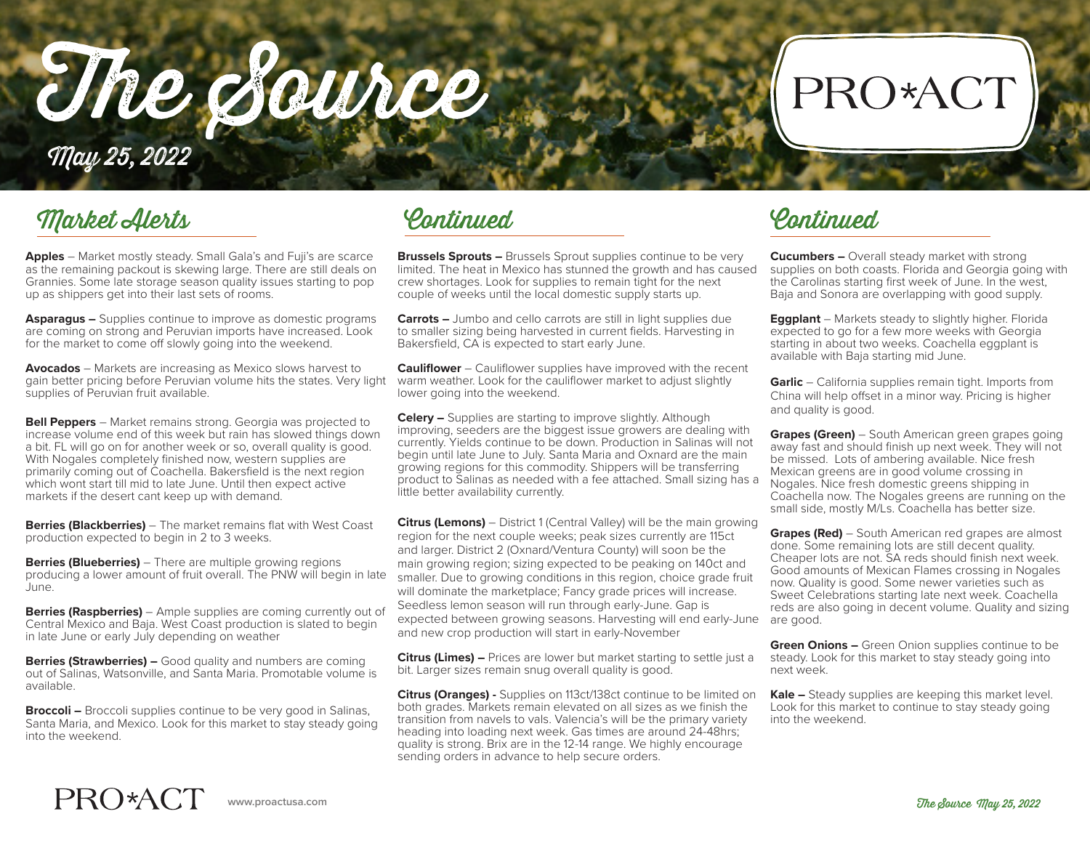The Source

## PRO\*ACT

May 25, 2022

### Market Alerts

**Apples** – Market mostly steady. Small Gala's and Fuji's are scarce as the remaining packout is skewing large. There are still deals on Grannies. Some late storage season quality issues starting to pop up as shippers get into their last sets of rooms.

**Asparagus –** Supplies continue to improve as domestic programs are coming on strong and Peruvian imports have increased. Look for the market to come off slowly going into the weekend.

**Avocados** – Markets are increasing as Mexico slows harvest to gain better pricing before Peruvian volume hits the states. Very light supplies of Peruvian fruit available.

**Bell Peppers** – Market remains strong. Georgia was projected to increase volume end of this week but rain has slowed things down a bit. FL will go on for another week or so, overall quality is good. With Nogales completely finished now, western supplies are primarily coming out of Coachella. Bakersfield is the next region which wont start till mid to late June. Until then expect active markets if the desert cant keep up with demand.

**Berries (Blackberries)** – The market remains flat with West Coast production expected to begin in 2 to 3 weeks.

**Berries (Blueberries)** – There are multiple growing regions producing a lower amount of fruit overall. The PNW will begin in late June.

**Berries (Raspberries)** – Ample supplies are coming currently out of Central Mexico and Baja. West Coast production is slated to begin in late June or early July depending on weather

**Berries (Strawberries) –** Good quality and numbers are coming out of Salinas, Watsonville, and Santa Maria. Promotable volume is available.

**Broccoli –** Broccoli supplies continue to be very good in Salinas, Santa Maria, and Mexico. Look for this market to stay steady going into the weekend.

Continued Continued

**Brussels Sprouts –** Brussels Sprout supplies continue to be very limited. The heat in Mexico has stunned the growth and has caused crew shortages. Look for supplies to remain tight for the next couple of weeks until the local domestic supply starts up.

**Carrots –** Jumbo and cello carrots are still in light supplies due to smaller sizing being harvested in current fields. Harvesting in Bakersfield, CA is expected to start early June.

**Cauliflower** – Cauliflower supplies have improved with the recent warm weather. Look for the cauliflower market to adjust slightly lower going into the weekend.

**Celery –** Supplies are starting to improve slightly. Although improving, seeders are the biggest issue growers are dealing with currently. Yields continue to be down. Production in Salinas will not begin until late June to July. Santa Maria and Oxnard are the main growing regions for this commodity. Shippers will be transferring product to Salinas as needed with a fee attached. Small sizing has a little better availability currently.

**Citrus (Lemons)** – District 1 (Central Valley) will be the main growing region for the next couple weeks; peak sizes currently are 115ct and larger. District 2 (Oxnard/Ventura County) will soon be the main growing region; sizing expected to be peaking on 140ct and smaller. Due to growing conditions in this region, choice grade fruit will dominate the marketplace; Fancy grade prices will increase. Seedless lemon season will run through early-June. Gap is expected between growing seasons. Harvesting will end early-June and new crop production will start in early-November

**Citrus (Limes) –** Prices are lower but market starting to settle just a bit. Larger sizes remain snug overall quality is good.

**Citrus (Oranges) -** Supplies on 113ct/138ct continue to be limited on both grades. Markets remain elevated on all sizes as we finish the transition from navels to vals. Valencia's will be the primary variety heading into loading next week. Gas times are around 24-48hrs; quality is strong. Brix are in the 12-14 range. We highly encourage sending orders in advance to help secure orders.

**Cucumbers –** Overall steady market with strong supplies on both coasts. Florida and Georgia going with the Carolinas starting first week of June. In the west, Baja and Sonora are overlapping with good supply.

**Eggplant** – Markets steady to slightly higher. Florida expected to go for a few more weeks with Georgia starting in about two weeks. Coachella eggplant is available with Baja starting mid June.

**Garlic** – California supplies remain tight. Imports from China will help offset in a minor way. Pricing is higher and quality is good.

**Grapes (Green)** – South American green grapes going away fast and should finish up next week. They will not be missed. Lots of ambering available. Nice fresh Mexican greens are in good volume crossing in Nogales. Nice fresh domestic greens shipping in Coachella now. The Nogales greens are running on the small side, mostly M/Ls. Coachella has better size.

**Grapes (Red)** – South American red grapes are almost done. Some remaining lots are still decent quality. Cheaper lots are not. SA reds should finish next week. Good amounts of Mexican Flames crossing in Nogales now. Quality is good. Some newer varieties such as Sweet Celebrations starting late next week. Coachella reds are also going in decent volume. Quality and sizing are good.

**Green Onions –** Green Onion supplies continue to be steady. Look for this market to stay steady going into next week.

**Kale –** Steady supplies are keeping this market level. Look for this market to continue to stay steady going into the weekend.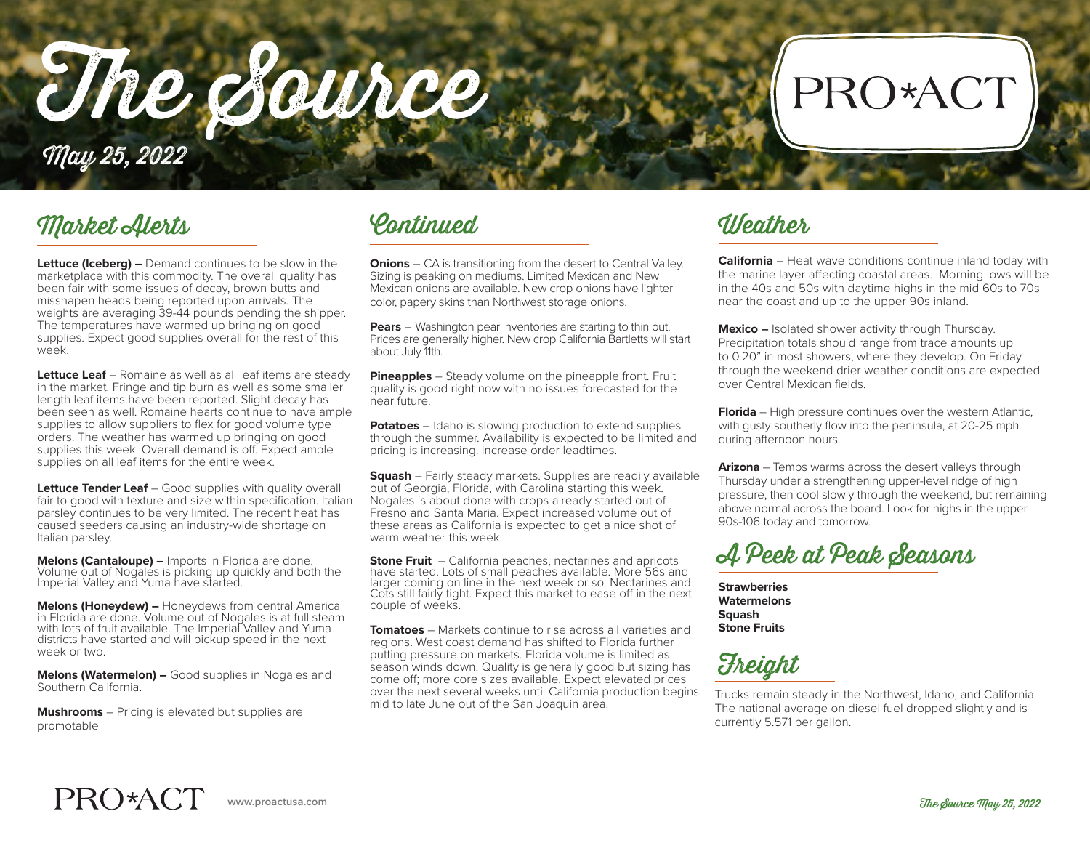The Source May 25, 2022

### Market Alerts Continued Weather

**Lettuce (Iceberg) –** Demand continues to be slow in the marketplace with this commodity. The overall quality has been fair with some issues of decay, brown butts and misshapen heads being reported upon arrivals. The weights are averaging 39-44 pounds pending the shipper. The temperatures have warmed up bringing on good supplies. Expect good supplies overall for the rest of this week.

**Lettuce Leaf** – Romaine as well as all leaf items are steady in the market. Fringe and tip burn as well as some smaller length leaf items have been reported. Slight decay has been seen as well. Romaine hearts continue to have ample supplies to allow suppliers to flex for good volume type orders. The weather has warmed up bringing on good supplies this week. Overall demand is off. Expect ample supplies on all leaf items for the entire week.

**Lettuce Tender Leaf** – Good supplies with quality overall fair to good with texture and size within specification. Italian parsley continues to be very limited. The recent heat has caused seeders causing an industry-wide shortage on Italian parsley.

**Melons (Cantaloupe) –** Imports in Florida are done. Volume out of Nogales is picking up quickly and both the Imperial Valley and Yuma have started.

**Melons (Honeydew) –** Honeydews from central America in Florida are done. Volume out of Nogales is at full steam with lots of fruit available. The Imperial Valley and Yuma districts have started and will pickup speed in the next week or two.

**Melons (Watermelon) –** Good supplies in Nogales and Southern California.

**Mushrooms** – Pricing is elevated but supplies are promotable

**Onions** – CA is transitioning from the desert to Central Valley. Sizing is peaking on mediums. Limited Mexican and New Mexican onions are available. New crop onions have lighter color, papery skins than Northwest storage onions.

**Pears** – Washington pear inventories are starting to thin out. Prices are generally higher. New crop California Bartletts will start about July 11th.

**Pineapples** – Steady volume on the pineapple front. Fruit quality is good right now with no issues forecasted for the near future.

**Potatoes** – Idaho is slowing production to extend supplies through the summer. Availability is expected to be limited and pricing is increasing. Increase order leadtimes.

**Squash** – Fairly steady markets. Supplies are readily available out of Georgia, Florida, with Carolina starting this week. Nogales is about done with crops already started out of Fresno and Santa Maria. Expect increased volume out of these areas as California is expected to get a nice shot of warm weather this week.

**Stone Fruit** – California peaches, nectarines and apricots have started. Lots of small peaches available. More 56s and larger coming on line in the next week or so. Nectarines and Cots still fairly tight. Expect this market to ease off in the next couple of weeks.

**Tomatoes** – Markets continue to rise across all varieties and regions. West coast demand has shifted to Florida further putting pressure on markets. Florida volume is limited as season winds down. Quality is generally good but sizing has come off; more core sizes available. Expect elevated prices over the next several weeks until California production begins mid to late June out of the San Joaquin area.

**California** – Heat wave conditions continue inland today with the marine layer affecting coastal areas. Morning lows will be in the 40s and 50s with daytime highs in the mid 60s to 70s near the coast and up to the upper 90s inland.

PRO\*ACT

**Mexico –** Isolated shower activity through Thursday. Precipitation totals should range from trace amounts up to 0.20" in most showers, where they develop. On Friday through the weekend drier weather conditions are expected over Central Mexican fields.

**Florida** – High pressure continues over the western Atlantic. with gusty southerly flow into the peninsula, at 20-25 mph during afternoon hours.

**Arizona** – Temps warms across the desert valleys through Thursday under a strengthening upper-level ridge of high pressure, then cool slowly through the weekend, but remaining above normal across the board. Look for highs in the upper 90s-106 today and tomorrow.

A Peek at Peak Seasons

**Strawberries Watermelons Squash Stone Fruits**

Freight

Trucks remain steady in the Northwest, Idaho, and California. The national average on diesel fuel dropped slightly and is currently 5.571 per gallon.